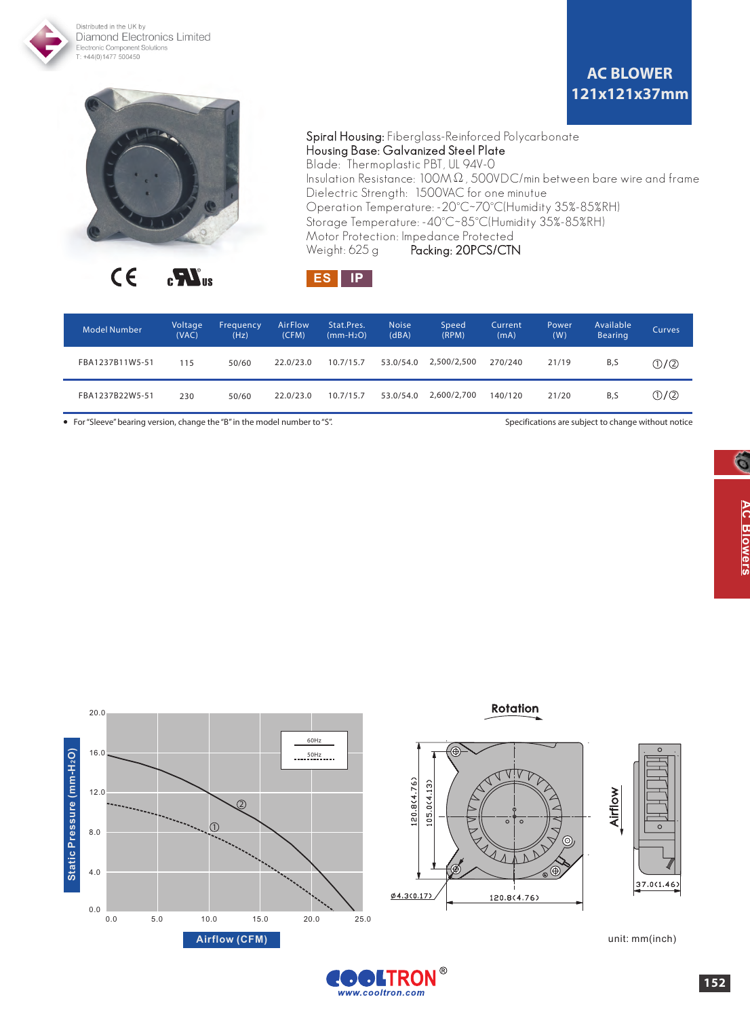

 $C \in$  $\mathbf{r}$ 

Packing: 20PCS/CTN Weight: 625 g



| <b>Model Number</b> | Voltage<br>(VAC) | Frequency<br>(Hz) | <b>AirFlow</b><br>(CFM) | Stat.Pres.<br>$(mm-H2O)$ | <b>Noise</b><br>(dBA) | Speed<br>(RPM) | Current<br>(mA) | <b>Power</b><br>(W) | Available<br><b>Bearing</b> | Curves.                 |
|---------------------|------------------|-------------------|-------------------------|--------------------------|-----------------------|----------------|-----------------|---------------------|-----------------------------|-------------------------|
| FBA1237B11W5-51     | 115              | 50/60             | 22.0/23.0               | 10.7/15.7                | 53.0/54.0             | 2.500/2.500    | 270/240         | 21/19               | B,S                         | $\mathbb{O}/\mathbb{Q}$ |
| FBA1237B22W5-51     | 230              | 50/60             | 22.0/23.0               | 10.7/15.7                | 53.0/54.0             | 2.600/2.700    | 140/120         | 21/20               | B.S                         | ①/②                     |

• For "Sleeve" bearing version, change the "B" in the model number to "S". Specifications are subject to change without notice



unit: mm(inch)

Airflow

 $37.0(1.46)$